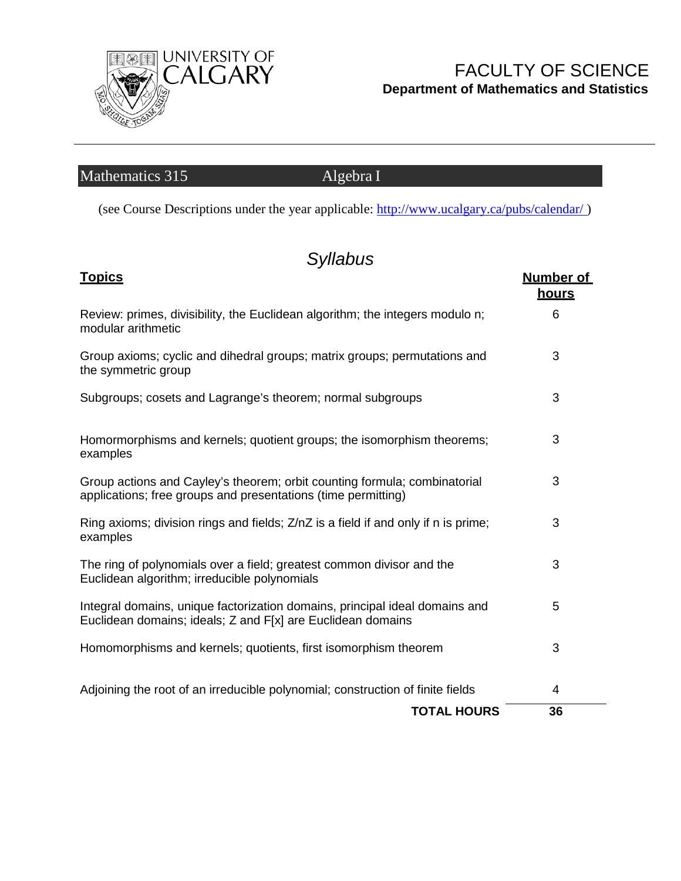

### FACULTY OF SCIENCE **Department of Mathematics and Statistics**

# Mathematics 315 Algebra I

(see Course Descriptions under the year applicable:<http://www.ucalgary.ca/pubs/calendar/> )

# *Syllabus*

| <u>Topics</u>                                                                                                                              | <b>Number of</b><br><u>hours</u> |
|--------------------------------------------------------------------------------------------------------------------------------------------|----------------------------------|
| Review: primes, divisibility, the Euclidean algorithm; the integers modulo n;<br>modular arithmetic                                        | 6                                |
| Group axioms; cyclic and dihedral groups; matrix groups; permutations and<br>the symmetric group                                           | 3                                |
| Subgroups; cosets and Lagrange's theorem; normal subgroups                                                                                 | 3                                |
| Homormorphisms and kernels; quotient groups; the isomorphism theorems;<br>examples                                                         | 3                                |
| Group actions and Cayley's theorem; orbit counting formula; combinatorial<br>applications; free groups and presentations (time permitting) | 3                                |
| Ring axioms; division rings and fields; Z/nZ is a field if and only if n is prime;<br>examples                                             | 3                                |
| The ring of polynomials over a field; greatest common divisor and the<br>Euclidean algorithm; irreducible polynomials                      | 3                                |
| Integral domains, unique factorization domains, principal ideal domains and<br>Euclidean domains; ideals; Z and F[x] are Euclidean domains | 5                                |
| Homomorphisms and kernels; quotients, first isomorphism theorem                                                                            | 3                                |
| Adjoining the root of an irreducible polynomial; construction of finite fields                                                             | 4                                |
| <b>TOTAL HOURS</b>                                                                                                                         | 36                               |